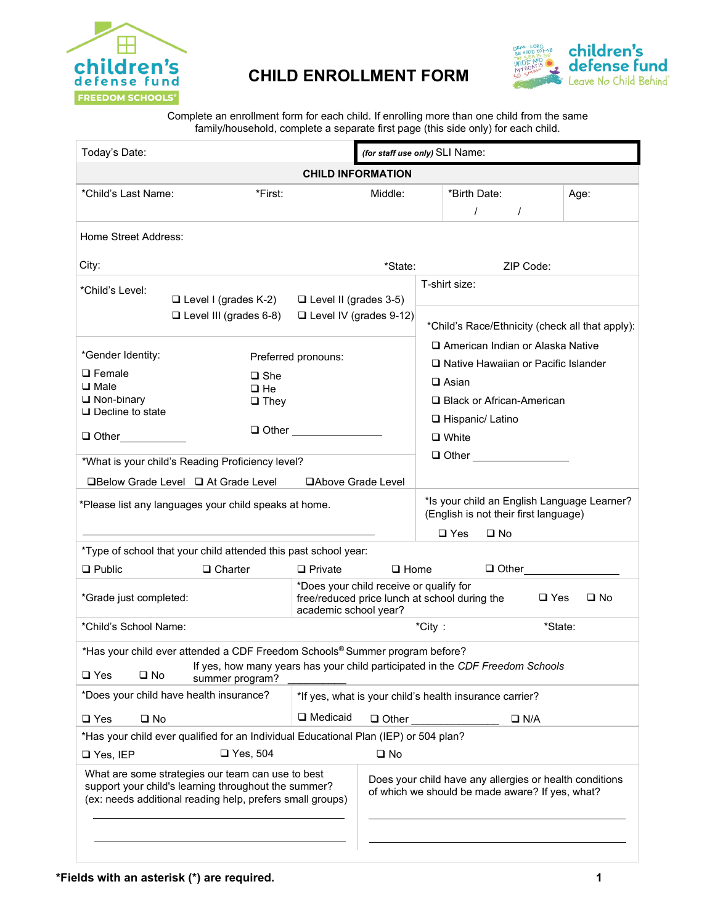

## **CHILD ENROLLMENT FORM**



Complete an enrollment form for each child. If enrolling more than one child from the same family/household, complete a separate first page (this side only) for each child.

| Today's Date:                                                                                                                                                          |                                                              | (for staff use only) SLI Name:                                                                             |              |               |                                                                                      |      |  |  |  |
|------------------------------------------------------------------------------------------------------------------------------------------------------------------------|--------------------------------------------------------------|------------------------------------------------------------------------------------------------------------|--------------|---------------|--------------------------------------------------------------------------------------|------|--|--|--|
| <b>CHILD INFORMATION</b>                                                                                                                                               |                                                              |                                                                                                            |              |               |                                                                                      |      |  |  |  |
| *Child's Last Name:                                                                                                                                                    | *First:                                                      |                                                                                                            | Middle:      |               | *Birth Date:<br>$\prime$<br>$\prime$                                                 | Age: |  |  |  |
| Home Street Address:                                                                                                                                                   |                                                              |                                                                                                            |              |               |                                                                                      |      |  |  |  |
| City:                                                                                                                                                                  |                                                              |                                                                                                            | *State:      |               | ZIP Code:                                                                            |      |  |  |  |
| *Child's Level:                                                                                                                                                        | $\Box$ Level I (grades K-2)<br>$\Box$ Level III (grades 6-8) | $\Box$ Level II (grades 3-5)<br>Level IV (grades 9-12)                                                     |              | T-shirt size: |                                                                                      |      |  |  |  |
|                                                                                                                                                                        |                                                              |                                                                                                            |              |               | *Child's Race/Ethnicity (check all that apply):                                      |      |  |  |  |
| *Gender Identity:                                                                                                                                                      |                                                              | Preferred pronouns:                                                                                        |              |               | American Indian or Alaska Native                                                     |      |  |  |  |
| $\square$ Female                                                                                                                                                       | $\square$ She                                                |                                                                                                            |              |               | □ Native Hawaiian or Pacific Islander<br>$\Box$ Asian                                |      |  |  |  |
| $\square$ Male<br>$\sqcup$ Non-binary                                                                                                                                  | $\square$ He<br>$\Box$ They                                  |                                                                                                            |              |               | □ Black or African-American                                                          |      |  |  |  |
| $\sqcup$ Decline to state                                                                                                                                              |                                                              |                                                                                                            |              |               | □ Hispanic/ Latino                                                                   |      |  |  |  |
| Other___________                                                                                                                                                       |                                                              | $\Box$ Other $\Box$                                                                                        |              |               | $\Box$ White                                                                         |      |  |  |  |
|                                                                                                                                                                        | *What is your child's Reading Proficiency level?             |                                                                                                            |              |               | $\Box$ Other $\Box$                                                                  |      |  |  |  |
|                                                                                                                                                                        | <b>QBelow Grade Level Q At Grade Level</b>                   | □Above Grade Level                                                                                         |              |               |                                                                                      |      |  |  |  |
| *Please list any languages your child speaks at home.                                                                                                                  |                                                              |                                                                                                            |              |               | *Is your child an English Language Learner?<br>(English is not their first language) |      |  |  |  |
|                                                                                                                                                                        |                                                              |                                                                                                            |              |               | $\Box$ Yes<br>$\square$ No                                                           |      |  |  |  |
| *Type of school that your child attended this past school year:                                                                                                        |                                                              |                                                                                                            |              |               |                                                                                      |      |  |  |  |
| $\Box$ Public                                                                                                                                                          | $\Box$ Charter                                               | $\Box$ Private                                                                                             | $\Box$ Home  |               |                                                                                      |      |  |  |  |
| *Does your child receive or qualify for<br>*Grade just completed:<br>academic school year?                                                                             |                                                              |                                                                                                            |              |               | free/reduced price lunch at school during the<br>$\square$ Yes<br>$\square$ No       |      |  |  |  |
| *Child's School Name:                                                                                                                                                  | *City:<br>*State:                                            |                                                                                                            |              |               |                                                                                      |      |  |  |  |
| *Has your child ever attended a CDF Freedom Schools® Summer program before?                                                                                            |                                                              |                                                                                                            |              |               |                                                                                      |      |  |  |  |
| If yes, how many years has your child participated in the CDF Freedom Schools<br>$\square$ Yes<br>$\square$ No<br>summer program?                                      |                                                              |                                                                                                            |              |               |                                                                                      |      |  |  |  |
| *Does your child have health insurance?                                                                                                                                | *If yes, what is your child's health insurance carrier?      |                                                                                                            |              |               |                                                                                      |      |  |  |  |
| $\square$ Yes<br>$\square$ No                                                                                                                                          | □ Medicaid<br>$\Box$ Other<br>$\square$ N/A                  |                                                                                                            |              |               |                                                                                      |      |  |  |  |
| *Has your child ever qualified for an Individual Educational Plan (IEP) or 504 plan?                                                                                   |                                                              |                                                                                                            |              |               |                                                                                      |      |  |  |  |
| □ Yes, IEP                                                                                                                                                             | $\Box$ Yes, 504                                              |                                                                                                            | $\square$ No |               |                                                                                      |      |  |  |  |
| What are some strategies our team can use to best<br>support your child's learning throughout the summer?<br>(ex: needs additional reading help, prefers small groups) |                                                              | Does your child have any allergies or health conditions<br>of which we should be made aware? If yes, what? |              |               |                                                                                      |      |  |  |  |
|                                                                                                                                                                        |                                                              |                                                                                                            |              |               |                                                                                      |      |  |  |  |